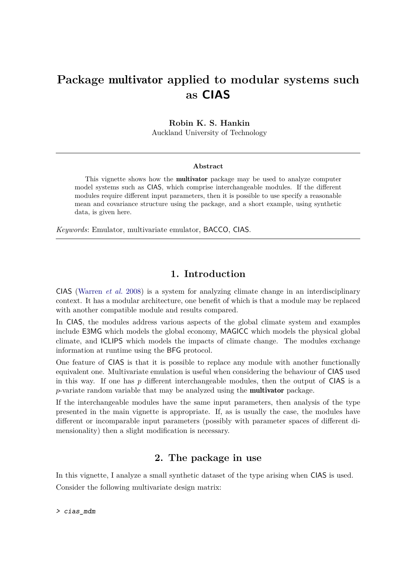# **Package** multivator **applied to modular systems such as CIAS**

### **Robin K. S. Hankin**

Auckland University of Technology

#### **Abstract**

This vignette shows how the multivator package may be used to analyze computer model systems such as CIAS, which comprise interchangeable modules. If the different modules require different input parameters, then it is possible to use specify a reasonable mean and covariance structure using the package, and a short example, using synthetic data, is given here.

*Keywords*: Emulator, multivariate emulator, BACCO, CIAS.

## **1. Introduction**

CIAS [\(Warren](#page-3-0) *et al.* [2008\)](#page-3-0) is a system for analyzing climate change in an interdisciplinary context. It has a modular architecture, one benefit of which is that a module may be replaced with another compatible module and results compared.

In CIAS, the modules address various aspects of the global climate system and examples include E3MG which models the global economy, MAGICC which models the physical global climate, and ICLIPS which models the impacts of climate change. The modules exchange information at runtime using the BFG protocol.

One feature of CIAS is that it is possible to replace any module with another functionally equivalent one. Multivariate emulation is useful when considering the behaviour of CIAS used in this way. If one has *p* different interchangeable modules, then the output of CIAS is a *p*-variate random variable that may be analyzed using the multivator package.

If the interchangeable modules have the same input parameters, then analysis of the type presented in the main vignette is appropriate. If, as is usually the case, the modules have different or incomparable input parameters (possibly with parameter spaces of different dimensionality) then a slight modification is necessary.

# **2. The package in use**

In this vignette, I analyze a small synthetic dataset of the type arising when CIAS is used. Consider the following multivariate design matrix: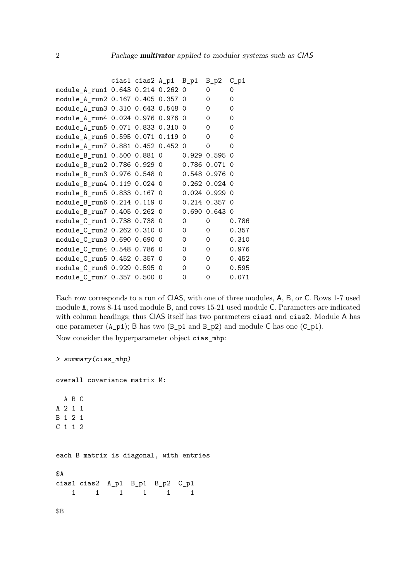|                                             | cias1 cias2 A_p1 B_p1 |   | $B_p2 C_p1$       |          |
|---------------------------------------------|-----------------------|---|-------------------|----------|
| module_A_run1 0.643 0.214 0.262 0           |                       |   | 0                 | 0        |
| module_A_run2 0.167 0.405 0.357 0           |                       |   | $\Omega$          | $\Omega$ |
| module_A_run3 0.310 0.643 0.548 0           |                       |   | 0                 | 0        |
| module_A_run4 0.024 0.976 0.976 0           |                       |   | 0                 | 0        |
| module_A_run5 0.071 0.833 0.310 0           |                       |   | 0                 | 0        |
| module_A_run6 0.595 0.071 0.119 0           |                       |   | $\Omega$          | 0        |
| module_A_run7 0.881 0.452 0.452 0           |                       |   | $\Omega$          | 0        |
| module_B_run1 0.500 0.881 0                 |                       |   | $0.929$ 0.595 0   |          |
|                                             |                       |   |                   |          |
|                                             |                       |   | 0.548 0.976 0     |          |
| module_B_run4 0.119 0.024 0 0.262 0.024 0   |                       |   |                   |          |
| module_B_run5 0.833 0.167 0   0.024 0.929 0 |                       |   |                   |          |
|                                             |                       |   | 0.214 0.357 0     |          |
| module_B_run7 0.405 0.262 0                 |                       |   | $0.690$ $0.643$ 0 |          |
| module_C_run1 0.738 0.738 0                 |                       | 0 | 0                 | 0.786    |
| module_C_run2 0.262 0.310 0                 |                       | 0 | 0                 | 0.357    |
| module_C_run3 0.690 0.690 0                 |                       | 0 | 0                 | 0.310    |
| module_C_run4  0.548  0.786  0              |                       | 0 | 0                 | 0.976    |
| module_C_run5 0.452 0.357 0                 |                       | 0 | 0                 | 0.452    |
| module_C_run6 0.929 0.595 0                 |                       | 0 | 0                 | 0.595    |
| module_C_run7 0.357 0.500 0                 |                       | 0 | 0                 | 0.071    |

Each row corresponds to a run of CIAS, with one of three modules, A, B, or C. Rows 1-7 used module A, rows 8-14 used module B, and rows 15-21 used module C. Parameters are indicated with column headings; thus CIAS itself has two parameters cias1 and cias2. Module A has one parameter  $(A_p1)$ ; B has two  $(B_p1$  and  $B_p2)$  and module C has one  $(C_p1)$ .

Now consider the hyperparameter object cias\_mhp:

```
> summary(cias_mhp)
overall covariance matrix M:
 A B C
A 2 1 1
B 1 2 1
C 1 1 2
each B matrix is diagonal, with entries
$A
cias1 cias2 A_p1 B_p1 B_p2 C_p1
   1 1 1 1 1 1
$B
```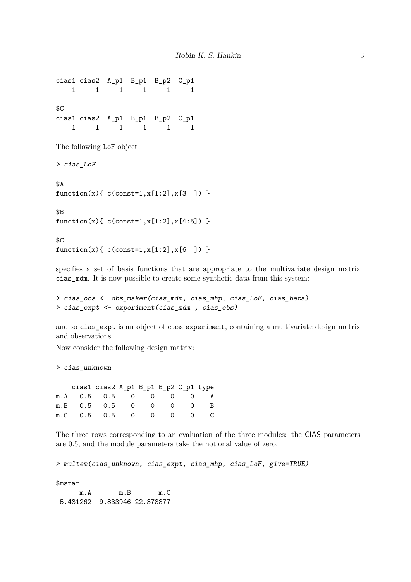cias1 cias2 A\_p1 B\_p1 B\_p2 C\_p1 1 1 1 1 1 1 \$C cias1 cias2 A\_p1 B\_p1 B\_p2 C\_p1 1 1 1 1 1 1

The following LoF object

> cias\_LoF

\$A  $function(x) { c (const=1, x[1:2], x[3] ) }$ 

\$B  $function(x) { c (const=1, x[1:2], x[4:5]) }$ 

\$C  $function(x) { c(const=1, x[1:2], x[6 ] ) }$ 

specifies a set of basis functions that are appropriate to the multivariate design matrix cias\_mdm. It is now possible to create some synthetic data from this system:

```
> cias_obs <- obs_maker(cias_mdm, cias_mhp, cias_LoF, cias_beta)
> cias_expt <- experiment(cias_mdm , cias_obs)
```
and so cias\_expt is an object of class experiment, containing a multivariate design matrix and observations.

Now consider the following design matrix:

> cias\_unknown

|                       | cias1 cias2 A_p1 B_p1 B_p2 C_p1 type |  |  |  |
|-----------------------|--------------------------------------|--|--|--|
| m.A 0.5 0.5 0 0 0 0 A |                                      |  |  |  |
| m.B 0.5 0.5 0 0 0 0 B |                                      |  |  |  |
| m.C 0.5 0.5 0 0 0 0 C |                                      |  |  |  |

The three rows corresponding to an evaluation of the three modules: the CIAS parameters are 0.5, and the module parameters take the notional value of zero.

> multem(cias\_unknown, cias\_expt, cias\_mhp, cias\_LoF, give=TRUE)

\$mstar

m.A m.B m.C 5.431262 9.833946 22.378877